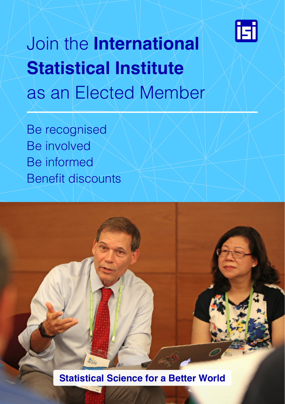

# Join the **International Statistical Institute**  as an Elected Member

Be recognised Be involved Be informed Benefit discounts

**Statistical Science for a Better World**